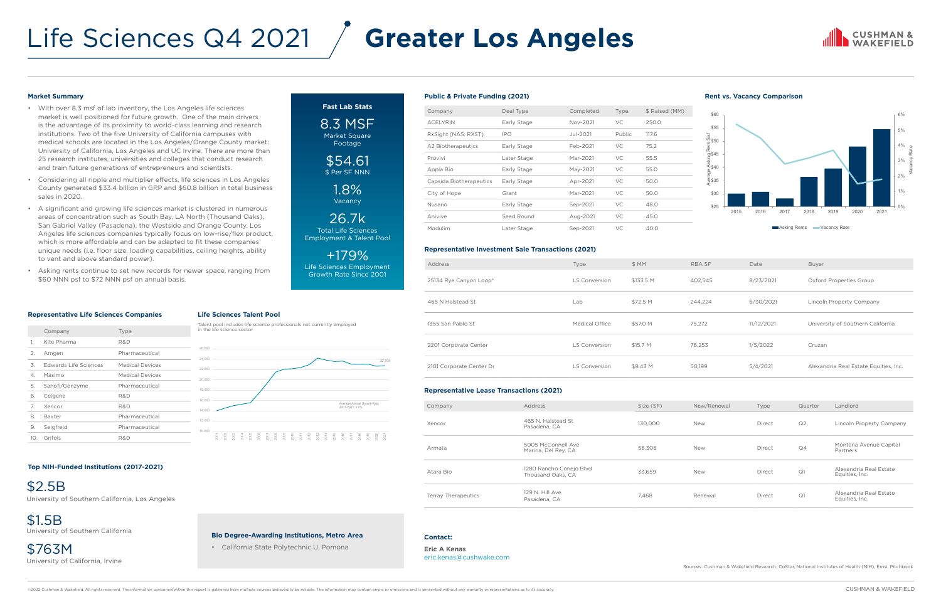- With over 8.3 msf of lab inventory, the Los Angeles life sciences market is well positioned for future growth. One of the main drivers is the advantage of its proximity to world-class learning and research institutions. Two of the five University of California campuses with medical schools are located in the Los Angeles/Orange County market: University of California, Los Angeles and UC Irvine. There are more than 25 research institutes, universities and colleges that conduct research and train future generations of entrepreneurs and scientists.
- Considering all ripple and multiplier effects, life sciences in Los Angeles County generated \$33.4 billion in GRP and \$60.8 billion in total business sales in 2020.
- A significant and growing life sciences market is clustered in numerous areas of concentration such as South Bay, LA North (Thousand Oaks), San Gabriel Valley (Pasadena), the Westside and Orange County. Los Angeles life sciences companies typically focus on low-rise/flex product, which is more affordable and can be adapted to fit these companies' unique needs (i.e. floor size, loading capabilities, ceiling heights, ability to vent and above standard power).
- Asking rents continue to set new records for newer space, ranging from \$60 NNN psf to \$72 NNN psf on annual basis.

## Life Sciences Q4 2021

#### **Bio Degree-Awarding Institutions, Metro Area**

• California State Polytechnic U, Pomona

#### **Market Summary**

\$54.61 \$ Per SF NNN

#### **Top NIH-Funded Institutions (2017-2021)**

#### **Representative Life Sciences Companies**

**Fast Lab Stats**

8.3 MSF Market Square Footage

> 1.8% Vacancy

26.7k Total Life Sciences Employment & Talent Pool

+179% Life Sciences Employment Growth Rate Since 2001

### **Life Sciences Talent Pool**

|     | Company               | Type                   |
|-----|-----------------------|------------------------|
| 1.  | Kite Pharma           | R&D                    |
| 2.  | Amgen                 | Pharmaceutical         |
| 3.  | Edwards Life Sciences | <b>Medical Devices</b> |
| 4.  | Masimo                | <b>Medical Devices</b> |
| 5.  | Sanofi/Genzyme        | Pharmaceutical         |
| 6.  | Celgene               | R&D                    |
| 7   | Xencor                | R&D                    |
| 8   | Baxter                | Pharmaceutical         |
| 9.  | Seigfreid             | Pharmaceutical         |
| 10. | Grifols               | R&D                    |

#### **Public & Private Funding (2021) Rent vs. Vacancy Comparison**

#### **Representative Investment Sale Transactions (2021)**

#### **Representative Lease Transactions (2021)**

| Company                 | Deal Type   | Completed | Type      | \$ Raised (MM) |
|-------------------------|-------------|-----------|-----------|----------------|
| <b>ACELYRIN</b>         | Early Stage | Nov-2021  | VC.       | 250.0          |
| RxSight (NAS: RXST)     | IPO         | Jul-2021  | Public    | 117.6          |
| A2 Biotherapeutics      | Early Stage | Feb-2021  | VC.       | 75.2           |
| Provivi                 | Later Stage | Mar-2021  | <b>VC</b> | 55.5           |
| Appia Bio               | Early Stage | May-2021  | <b>VC</b> | 55.0           |
| Capsida Biotherapeutics | Early Stage | Apr-2021  | VC.       | 50.0           |
| City of Hope            | Grant       | Mar-2021  | <b>VC</b> | 50.0           |
| Nusano                  | Early Stage | Sep-2021  | VC        | 48.0           |
| Anivive                 | Seed Round  | Aug-2021  | VC        | 45.0           |
| Modulim                 | Later Stage | Sep-2021  | VC        | 40.0           |

| <b>Address</b>           | Type                  | \$MM      | <b>RBA SF</b> | Date       | Buyer                                 |
|--------------------------|-----------------------|-----------|---------------|------------|---------------------------------------|
| 25134 Rye Canyon Loop*   | <b>LS Conversion</b>  | \$133.5 M | 402,545       | 8/23/2021  | Oxford Properties Group               |
| 465 N Halstead St        | Lab                   | \$72.5 M  | 244,224       | 6/30/2021  | Lincoln Property Company              |
| 1355 San Pablo St        | <b>Medical Office</b> | \$57.0 M  | 75.272        | 11/12/2021 | University of Southern California     |
| 2201 Corporate Center    | <b>LS Conversion</b>  | \$15.7 M  | 76,253        | 1/5/2022   | Cruzan                                |
| 2101 Corporate Center Dr | <b>LS Conversion</b>  | \$9.43 M  | 50,199        | 5/4/2021   | Alexandria Real Estate Equities, Inc. |

| Company                    | Address                                      | Size (SF) | New/Renewal | Type   | Quarter        | Landlord                                 |
|----------------------------|----------------------------------------------|-----------|-------------|--------|----------------|------------------------------------------|
| Xencor                     | 465 N. Halstead St<br>Pasadena, CA           | 130.000   | <b>New</b>  | Direct | Q <sub>2</sub> | Lincoln Property Company                 |
| Armata                     | 5005 McConnell Ave<br>Marina, Del Rey, CA    | 56,306    | <b>New</b>  | Direct | Q <sub>4</sub> | Montana Avenue Capital<br>Partners       |
| Atara Bio                  | 1280 Rancho Conejo Blvd<br>Thousand Oaks, CA | 33,659    | <b>New</b>  | Direct | Q1             | Alexandria Real Estate<br>Equities, Inc. |
| <b>Terray Therapeutics</b> | 129 N. Hill Ave<br>Pasadena, CA              | 7,468     | Renewal     | Direct | Q1             | Alexandria Real Estate<br>Equities, Inc. |

#### **Contact:**

**Eric A Kenas** eric.kena[s@cushwake.com](mailto:first.last%40cushwake.com?subject=)

©2022 Cushman & Wakefield. All rights reserved. The information contained within this report is gathered from multiple sources believed to be reliable. The information may contain errors or omissions and is presented witho

### **CUSHMAN &**



# **Greater Los Angeles**

Sources: Cushman & Wakefield Research, CoStar, National Institutes of Health (NIH), Emsi, Pitchbook

\$2.5B University of Southern California, Los Angeles

\$1.5B University of Southern California

\$763M University of California, Irvine